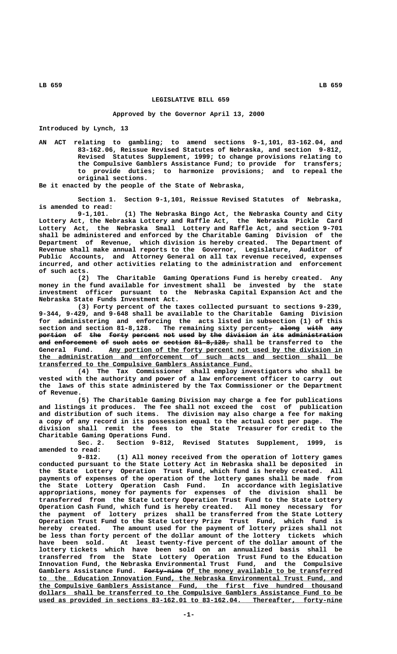## **LEGISLATIVE BILL 659**

## **Approved by the Governor April 13, 2000**

**Introduced by Lynch, 13**

**AN ACT relating to gambling; to amend sections 9-1,101, 83-162.04, and 83-162.06, Reissue Revised Statutes of Nebraska, and section 9-812, Revised Statutes Supplement, 1999; to change provisions relating to the Compulsive Gamblers Assistance Fund; to provide for transfers; to provide duties; to harmonize provisions; and to repeal the original sections.**

**Be it enacted by the people of the State of Nebraska,**

**Section 1. Section 9-1,101, Reissue Revised Statutes of Nebraska, is amended to read:**

**9-1,101. (1) The Nebraska Bingo Act, the Nebraska County and City Lottery Act, the Nebraska Lottery and Raffle Act, the Nebraska Pickle Card Lottery Act, the Nebraska Small Lottery and Raffle Act, and section 9-701 shall be administered and enforced by the Charitable Gaming Division of the Department of Revenue, which division is hereby created. The Department of Revenue shall make annual reports to the Governor, Legislature, Auditor of Public Accounts, and Attorney General on all tax revenue received, expenses incurred, and other activities relating to the administration and enforcement of such acts.**

**(2) The Charitable Gaming Operations Fund is hereby created. Any money in the fund available for investment shall be invested by the state investment officer pursuant to the Nebraska Capital Expansion Act and the Nebraska State Funds Investment Act.**

**(3) Forty percent of the taxes collected pursuant to sections 9-239, 9-344, 9-429, and 9-648 shall be available to the Charitable Gaming Division for administering and enforcing the acts listed in subsection (1) of this** section and section 81-8,128. The remaining sixty percent<sub>7</sub> along with any portion of the forty percent not used by the division in its administration and enforcement of such acts or section 81-8,128, shall be transferred to the General Fund. Any portion of the forty percent not used by the division in  **\_\_\_\_\_\_\_\_\_\_\_\_\_\_\_\_\_\_\_\_\_\_\_\_\_\_\_\_\_\_\_\_\_\_\_\_\_\_\_\_\_\_\_\_\_\_\_\_\_\_\_\_\_\_\_\_\_\_\_\_\_\_\_\_\_\_\_\_\_\_\_\_\_\_\_\_\_\_ the administration and enforcement of such acts and section shall be \_\_\_\_\_\_\_\_\_\_\_\_\_\_\_\_\_\_\_\_\_\_\_\_\_\_\_\_\_\_\_\_\_\_\_\_\_\_\_\_\_\_\_\_\_\_\_\_\_\_\_\_\_\_\_ transferred to the Compulsive Gamblers Assistance Fund.**

**(4) The Tax Commissioner shall employ investigators who shall be vested with the authority and power of a law enforcement officer to carry out the laws of this state administered by the Tax Commissioner or the Department of Revenue.**

**(5) The Charitable Gaming Division may charge a fee for publications and listings it produces. The fee shall not exceed the cost of publication and distribution of such items. The division may also charge a fee for making a copy of any record in its possession equal to the actual cost per page. The division shall remit the fees to the State Treasurer for credit to the Charitable Gaming Operations Fund.**

Section 9-812, Revised Statutes Supplement, 1999, is **amended to read:**

**9-812. (1) All money received from the operation of lottery games conducted pursuant to the State Lottery Act in Nebraska shall be deposited in the State Lottery Operation Trust Fund, which fund is hereby created. All payments of expenses of the operation of the lottery games shall be made from the State Lottery Operation Cash Fund. In accordance with legislative appropriations, money for payments for expenses of the division shall be transferred from the State Lottery Operation Trust Fund to the State Lottery Operation Cash Fund, which fund is hereby created. All money necessary for the payment of lottery prizes shall be transferred from the State Lottery Operation Trust Fund to the State Lottery Prize Trust Fund, which fund is hereby created. The amount used for the payment of lottery prizes shall not be less than forty percent of the dollar amount of the lottery tickets which** At least twenty-five percent of the dollar amount of the **lottery tickets which have been sold on an annualized basis shall be transferred from the State Lottery Operation Trust Fund to the Education Innovation Fund, the Nebraska Environmental Trust Fund, and the Compulsive** Gamblers Assistance Fund. Forty-nine Of the money available to be transferred  **\_\_\_\_\_\_\_\_\_\_\_\_\_\_\_\_\_\_\_\_\_\_\_\_\_\_\_\_\_\_\_\_\_\_\_\_\_\_\_\_\_\_\_\_\_\_\_\_\_\_\_\_\_\_\_\_\_\_\_\_\_\_\_\_\_\_\_\_\_\_\_\_\_\_\_\_\_\_ to the Education Innovation Fund, the Nebraska Environmental Trust Fund, and \_\_\_\_\_\_\_\_\_\_\_\_\_\_\_\_\_\_\_\_\_\_\_\_\_\_\_\_\_\_\_\_\_\_\_\_\_\_\_\_\_\_\_\_\_\_\_\_\_\_\_\_\_\_\_\_\_\_\_\_\_\_\_\_\_\_\_\_\_\_\_\_\_\_\_\_\_\_ the Compulsive Gamblers Assistance Fund, the first five hundred thousand \_\_\_\_\_\_\_\_\_\_\_\_\_\_\_\_\_\_\_\_\_\_\_\_\_\_\_\_\_\_\_\_\_\_\_\_\_\_\_\_\_\_\_\_\_\_\_\_\_\_\_\_\_\_\_\_\_\_\_\_\_\_\_\_\_\_\_\_\_\_\_\_\_\_\_\_\_\_ dollars shall be transferred to the Compulsive Gamblers Assistance Fund to be \_\_\_\_\_\_\_\_\_\_\_\_\_\_\_\_\_\_\_\_\_\_\_\_\_\_\_\_\_\_\_\_\_\_\_\_\_\_\_\_\_\_\_\_\_\_\_\_\_\_\_\_\_\_\_\_\_\_\_\_\_\_\_\_\_\_\_\_\_\_\_\_\_\_\_\_\_\_ used as provided in sections 83-162.01 to 83-162.04. Thereafter, forty-nine**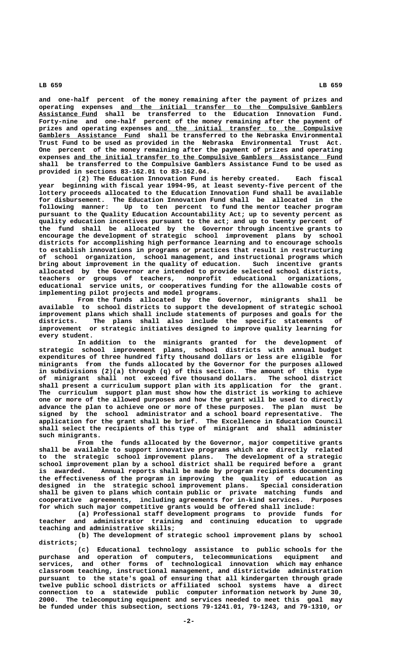**and one-half percent of the money remaining after the payment of prizes and \_\_\_\_\_\_\_\_\_\_\_\_\_\_\_\_\_\_\_\_\_\_\_\_\_\_\_\_\_\_\_\_\_\_\_\_\_\_\_\_\_\_\_\_\_\_\_\_\_\_\_\_\_\_\_\_\_ operating expenses and the initial transfer to the Compulsive Gamblers \_\_\_\_\_\_\_\_\_\_\_\_\_\_\_ Assistance Fund shall be transferred to the Education Innovation Fund. Forty-nine and one-half percent of the money remaining after the payment of** prizes and operating expenses and the initial transfer to the Compulsive  **\_\_\_\_\_\_\_\_\_\_\_\_\_\_\_\_\_\_\_\_\_\_\_\_\_\_ Gamblers Assistance Fund shall be transferred to the Nebraska Environmental Trust Fund to be used as provided in the Nebraska Environmental Trust Act. One percent of the money remaining after the payment of prizes and operating \_\_\_\_\_\_\_\_\_\_\_\_\_\_\_\_\_\_\_\_\_\_\_\_\_\_\_\_\_\_\_\_\_\_\_\_\_\_\_\_\_\_\_\_\_\_\_\_\_\_\_\_\_\_\_\_\_\_\_\_\_\_\_\_\_\_\_\_\_ expenses and the initial transfer to the Compulsive Gamblers Assistance Fund shall be transferred to the Compulsive Gamblers Assistance Fund to be used as provided in sections 83-162.01 to 83-162.04.**

**(2) The Education Innovation Fund is hereby created. Each fiscal year beginning with fiscal year 1994-95, at least seventy-five percent of the lottery proceeds allocated to the Education Innovation Fund shall be available for disbursement. The Education Innovation Fund shall be allocated in the** Up to ten percent to fund the mentor teacher program **pursuant to the Quality Education Accountability Act; up to seventy percent as quality education incentives pursuant to the act; and up to twenty percent of the fund shall be allocated by the Governor through incentive grants to encourage the development of strategic school improvement plans by school districts for accomplishing high performance learning and to encourage schools to establish innovations in programs or practices that result in restructuring of school organization, school management, and instructional programs which bring about improvement in the quality of education. Such incentive grants allocated by the Governor are intended to provide selected school districts, teachers or groups of teachers, nonprofit educational organizations, educational service units, or cooperatives funding for the allowable costs of implementing pilot projects and model programs.**

**From the funds allocated by the Governor, minigrants shall be available to school districts to support the development of strategic school improvement plans which shall include statements of purposes and goals for the districts. The plans shall also include the specific statements of improvement or strategic initiatives designed to improve quality learning for every student.**

**In addition to the minigrants granted for the development of strategic school improvement plans, school districts with annual budget expenditures of three hundred fifty thousand dollars or less are eligible for minigrants from the funds allocated by the Governor for the purposes allowed in subdivisions (2)(a) through (q) of this section. The amount of this type of minigrant shall not exceed five thousand dollars. The school district shall present a curriculum support plan with its application for the grant. The curriculum support plan must show how the district is working to achieve one or more of the allowed purposes and how the grant will be used to directly advance the plan to achieve one or more of these purposes. The plan must be signed by the school administrator and a school board representative. The application for the grant shall be brief. The Excellence in Education Council shall select the recipients of this type of minigrant and shall administer such minigrants.**

**From the funds allocated by the Governor, major competitive grants shall be available to support innovative programs which are directly related to the strategic school improvement plans. The development of a strategic school improvement plan by a school district shall be required before a grant is awarded. Annual reports shall be made by program recipients documenting the effectiveness of the program in improving the quality of education as designed in the strategic school improvement plans. Special consideration shall be given to plans which contain public or private matching funds and cooperative agreements, including agreements for in-kind services. Purposes for which such major competitive grants would be offered shall include:**

**(a) Professional staff development programs to provide funds for teacher and administrator training and continuing education to upgrade teaching and administrative skills;**

**(b) The development of strategic school improvement plans by school districts;**

**(c) Educational technology assistance to public schools for the purchase and operation of computers, telecommunications equipment and services, and other forms of technological innovation which may enhance classroom teaching, instructional management, and districtwide administration pursuant to the state's goal of ensuring that all kindergarten through grade twelve public school districts or affiliated school systems have a direct connection to a statewide public computer information network by June 30, 2000. The telecomputing equipment and services needed to meet this goal may be funded under this subsection, sections 79-1241.01, 79-1243, and 79-1310, or**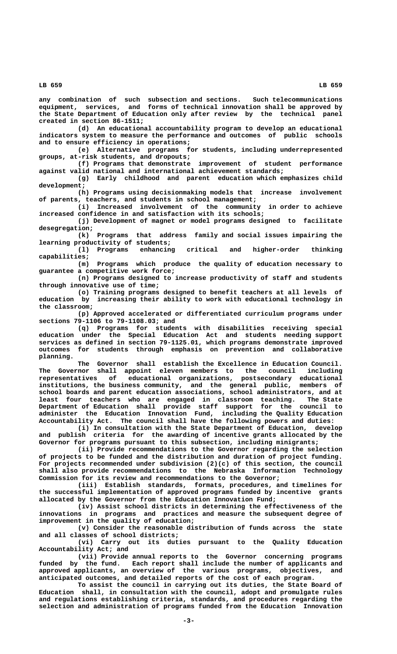**any combination of such subsection and sections. Such telecommunications equipment, services, and forms of technical innovation shall be approved by the State Department of Education only after review by the technical panel created in section 86-1511;**

**(d) An educational accountability program to develop an educational indicators system to measure the performance and outcomes of public schools and to ensure efficiency in operations;**

**(e) Alternative programs for students, including underrepresented groups, at-risk students, and dropouts;**

**(f) Programs that demonstrate improvement of student performance against valid national and international achievement standards;**

**(g) Early childhood and parent education which emphasizes child development;**

**(h) Programs using decisionmaking models that increase involvement of parents, teachers, and students in school management;**

**(i) Increased involvement of the community in order to achieve increased confidence in and satisfaction with its schools;**

**(j) Development of magnet or model programs designed to facilitate desegregation;**

**(k) Programs that address family and social issues impairing the learning productivity of students;**

**(l) Programs enhancing critical and higher-order thinking capabilities;**

**(m) Programs which produce the quality of education necessary to guarantee a competitive work force;**

**(n) Programs designed to increase productivity of staff and students through innovative use of time;**

**(o) Training programs designed to benefit teachers at all levels of education by increasing their ability to work with educational technology in the classroom;**

**(p) Approved accelerated or differentiated curriculum programs under sections 79-1106 to 79-1108.03; and**

**(q) Programs for students with disabilities receiving special education under the Special Education Act and students needing support services as defined in section 79-1125.01, which programs demonstrate improved outcomes for students through emphasis on prevention and collaborative planning.**

**The Governor shall establish the Excellence in Education Council. The Governor shall appoint eleven members to the council including representatives of educational organizations, postsecondary educational institutions, the business community, and the general public, members of school boards and parent education associations, school administrators, and at least four teachers who are engaged in classroom teaching. The State Department of Education shall provide staff support for the council to administer the Education Innovation Fund, including the Quality Education Accountability Act. The council shall have the following powers and duties:**

**(i) In consultation with the State Department of Education, develop and publish criteria for the awarding of incentive grants allocated by the Governor for programs pursuant to this subsection, including minigrants;**

**(ii) Provide recommendations to the Governor regarding the selection of projects to be funded and the distribution and duration of project funding. For projects recommended under subdivision (2)(c) of this section, the council shall also provide recommendations to the Nebraska Information Technology Commission for its review and recommendations to the Governor;**

**(iii) Establish standards, formats, procedures, and timelines for the successful implementation of approved programs funded by incentive grants allocated by the Governor from the Education Innovation Fund;**

**(iv) Assist school districts in determining the effectiveness of the innovations in programs and practices and measure the subsequent degree of improvement in the quality of education;**

**(v) Consider the reasonable distribution of funds across the state and all classes of school districts;**

**(vi) Carry out its duties pursuant to the Quality Education Accountability Act; and**

**(vii) Provide annual reports to the Governor concerning programs funded by the fund. Each report shall include the number of applicants and approved applicants, an overview of the various programs, objectives, and anticipated outcomes, and detailed reports of the cost of each program.**

**To assist the council in carrying out its duties, the State Board of Education shall, in consultation with the council, adopt and promulgate rules and regulations establishing criteria, standards, and procedures regarding the selection and administration of programs funded from the Education Innovation**